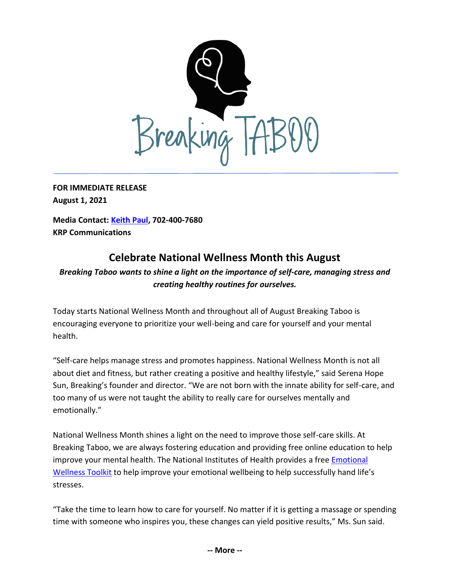

**FOR IMMEDIATE RELEASE August 1, 2021**

**Media Contact: [Keith Paul,](mailto:keithrpaul@outlook.com) 702-400-7680 KRP Communications**

## **Celebrate National Wellness Month this August**

## *Breaking Taboo wants to shine a light on the importance of self-care, managing stress and creating healthy routines for ourselves.*

Today starts National Wellness Month and throughout all of August Breaking Taboo is encouraging everyone to prioritize your well-being and care for yourself and your mental health.

"Self-care helps manage stress and promotes happiness. National Wellness Month is not all about diet and fitness, but rather creating a positive and healthy lifestyle," said Serena Hope Sun, Breaking's founder and director. "We are not born with the innate ability for self-care, and too many of us were not taught the ability to really care for ourselves mentally and emotionally."

National Wellness Month shines a light on the need to improve those self-care skills. At Breaking Taboo, we are always fostering education and providing free online education to help improve your mental health. The National Institutes of Health provides a free [Emotional](https://www.nih.gov/health-information/emotional-wellness-toolkit)  [Wellness Toolkit](https://www.nih.gov/health-information/emotional-wellness-toolkit) to help improve your emotional wellbeing to help successfully hand life's stresses.

"Take the time to learn how to care for yourself. No matter if it is getting a massage or spending time with someone who inspires you, these changes can yield positive results," Ms. Sun said.